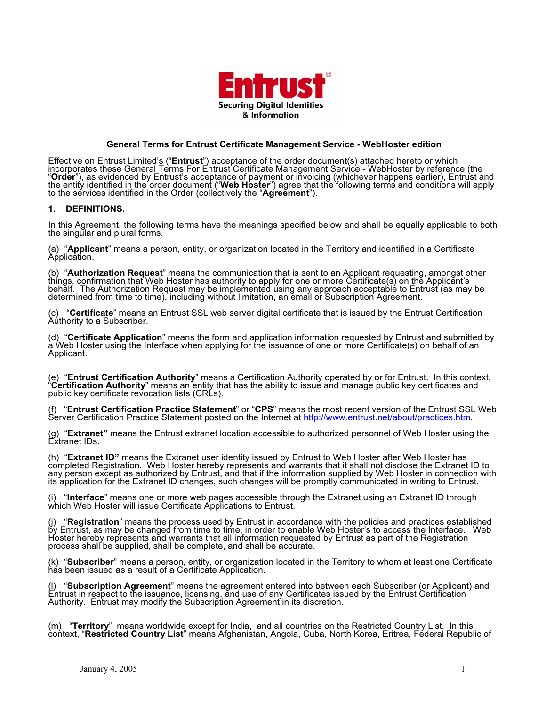

## **General Terms for Entrust Certificate Management Service - WebHoster edition**

r which anagement Service - WebHoster by reference (the denced by Entrust's acceptance of payment or invoicing (whichever happens earlier), Entrust and<br>ied in the order document ("**Web Hoster**") agree that the following terms and conditions will apply Effective on Entrust Limited's ("**Entrust**") acceptance of the order document(s) attached hereto o incorporates these General Terms For Entrust Certificate M<br>"**Order**"), as evidenced by Entrust's acceptance of payment the entity identif to the services identified in the Order (collectively the "**Agreement**").

### **1. DEFINITIONS.**

In this Agreement, the following terms have the meanings specified below and shall be equally applicable to both<br>the singular and plural forms.

(a) "**Applicant**" means a person, entity, or organization located in the Territory and identified in a Certificate Application.

g, amongst other at Web Hoster has authority to apply for one or more Certificate(s) on the Applicant's st (as may be t. (b) "**Authorization Request**" means the communication that is sent to an Applicant requestin things, confirmation th behalf. The Authorization Request may be implemented using any approach acceptable to Entru determined from time to time), including without limitation, an email or Subscription Agreemen

(c) "Certificate" means an Entrust SSL web server digital certificate that is issued by the Entrust Certification Authority to a Subscriber.

a Web Hoster using the Interface when applying for the issuance of one or more Certificate(s) on behalf of an (d) "**Certificate Application**" means Applicant.

(e) "**Entrust Certification Authority**" means a Certification Authority operated by or for Entrust. In this context,<br>"**Certification Authority**" means an entity that has the ability to issue and manage public key certifica public key certificate revocation lists (CRLs).

"Entrust Certification Practice Statement" or "CPS" means the most recent version of the Entrust SSL Web /practices.htm (f) "**Entrust Certification Practice Statement**" or "**CPS**" means the most recent version of the Server Certification Practice Statement posted on the Internet at http://www.entrust.net/about/practices.htm.

(g) "**Extranet**" means the Entrust extranet location accessible to authorized personnel of Web Hoster using the<br>Extranet IDs.

oster has se the Extranet ID to information supplied by Web Hoster in connection with its application for the Extranet ID changes, such changes will be promptly communicated in writing to Entrust. (h) "**Extranet ID"** means the Extranet user identity issued by Entrust to Web Hoster after Web H completed Registration. Web Hoster hereby represents and warrants that it shall not disclo any person except as authorized by Entrust, and that if the

(i) "**Interface**" means one or more web pages accessible through the Extranet using an Extranet ID through which Web Hoster will issue Certificate Applications to Entrust.

nce with the policies and practices established by Entrust, as may be changed from time to time, in order to enable Web Hoster's to access the Interface. Web e Registration (j) "**Registration**" means the process used by Entrust in accorda Hoster hereby represents and warrants that all information requested by Entrust as part of th process shall be supplied, shall be complete, and shall be accurate.

(k) "**Subscriber**" means a person, entity, or organization located in the Territory to whom at least one Certificate<br>has been issued as a result of a Certificate Application.

(I) "Subscription Agreement" means the agreement entered into between each Subscriber (or Applicant) and<br>Entrust in respect to the issuance, licensing, and use of any Certificates issued by the Entrust Certification<br>Author

(m) "Territory" means worldwide except for India, and all countries on the Restricted Country List. In this context, "Restricted Country List" means Afghanistan, Angola, Cuba, North Korea, Eritrea, Federal Republic of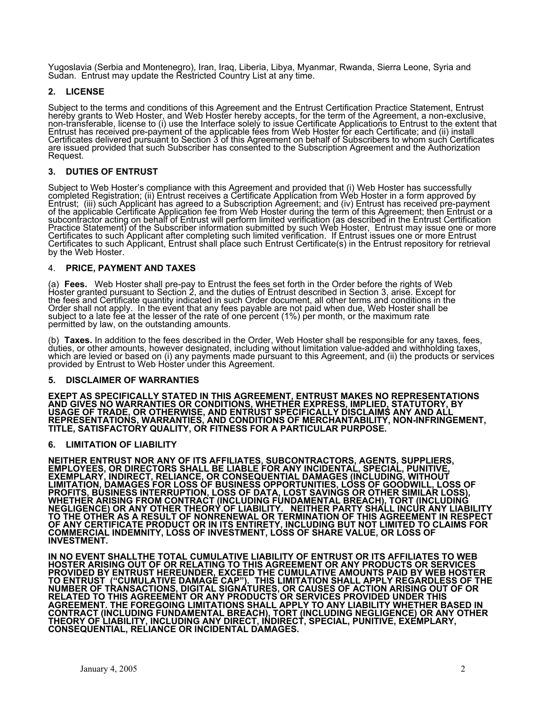Yugoslavia (Serbia and Montenegro), Iran, Iraq, Liberia, Libya, Myanmar, Rwanda, Sierra Leone, Syria and Sudan. Entrust may update the Restricted Country List at any time.

# **2. LICENSE**

Subject to the terms and conditions of this Agreement and the Entrust Certification Practice Statement, Entrust non-exclusive,<br>to the extent that ; and (ii) install Certificates delivered pursuant to Section 3 of this Agreement on behalf of Subscribers to whom such Certificates are issued provided that such Subscriber has consented to the Subscription Agreement and the Authorization<br>Request. hereby grants to Web Hoster, and Web Hoster hereby accepts, for the term of the Agreement, a non-transferable, license to (i) use the Interface solely to issue Certificate Applications to Entrust Entrust has received pre-payment of the applicable fees from Web Hoster for each Certificate are issued provided tha

# **3. DUTIES OF ENTRUST**

uccessfully pproved by eived pre-payment then Entrust or a ting on behalf of Entrust will perform limited verification (as described in the Entrust Certification criber information submitted by such Web Hoster, Entrust may issue one or more<br>ter completing such limited verification. If Entrust issues one or more Entrust st repository for retrieval Subject to Web Hoster's compliance with this Agreement and provided that (i) Web Hoster has s completed Registration; (ii) Entrust receives a Certificate Application from Web Hoster in a form a Entrust; (iii) such Applicant has agreed to a Subscription Agreement; and (iv) Entrust has rec of the applicable Certificate Application fee from Web Hoster during the term of this Agreement; subcontractor ac Practice Statement) of the Subs Certificates to such Applicant af Certificates to such Applicant, Entrust shall place such Entrust Certificate(s) in the Entru by the Web Hoster.

## 4. **PRICE, PAYMENT AND TAXES**

Fees. Web Hoster shall pre-pay to Entrust the fees set forth in the Order before the rights of Web xcept for ons in the ll be e percent (1%) per month, or the maximum rate permitted by law, on the outstanding amounts. (a) Fees. Web Hoster shall pre-pay to Hoster granted pursuant to Section 2, and the duties of Entrust described in Section 3, arise. E the fees and Certificate quantity indicated in such Order document, all other terms and conditi Order shall not apply. In the event that any fees payable are not paid when due, Web Hoster sha subject to a late fee at the lesser of the rate of on

(b) **Taxes.** In addition to the fees described in the Order, Web Hoster shall be responsible for any taxes, fees,<br>duties, or other amounts, however designated, including without limitation value-added and withholding taxe (b) Taxes. In addition to the fees described in the Order, Web Hoster shall be responsible for any taxes, fees, duties, or other amounts, however designated, including without limitation value-added and withholding taxes, provided by Entrust to Web Hoster under this Agreement.

### **RANTIES 5. DISCLAIMER OF WAR**

**EPRESENTATIONS STATUTORY, BY AND ALL -INFRINGEMENT, EXEPT AS SPECIFICALLY STATED IN THIS AGREEMENT, ENTRUST MAKES NO R AND GIVES NO WARRANTIES OR CONDITIONS, WHETHER EXPRESS, IMPLIED, USAGE OF TRADE, OR OTHERWISE, AND ENTRUST SPECIFICALLY DISCLAIMS ANY REPRESENTATIONS, WARRANTIES, AND CONDITIONS OF MERCHANTABILITY, NON TITLE, SATISFACTORY QUALITY, OR FITNESS FOR A PARTICULAR PURPOSE.** 

# **6. LIMITATION OF LIABILITY**

**NTS, SUPPLIERS, S, OR DIRECTORS SHALL BE LIABLE FOR ANY INCIDENTAL, SPECIAL, PUNITIVE, ITHOUT ILL, LOSS OF AR LOSS), CLUDING R ANY LIABILITY ENT IN RESPECT O CLAIMS FOR LOSS OF NEITHER ENTRUST NOR ANY OF ITS AFFILIATES, SUBCONTRACTORS, AGE EMPLOYEE EXEMPLARY, INDIRECT, RELIANCE, OR CONSEQUENTIAL DAMAGES (INCLUDING, W LIMITATION, DAMAGES FOR LOSS OF BUSINESS OPPORTUNITIES, LOSS OF GOODW PROFITS, BUSINESS INTERRUPTION, LOSS OF DATA, LOST SAVINGS OR OTHER SIMIL WHETHER ARISING FROM CONTRACT (INCLUDING FUNDAMENTAL BREACH), TORT (IN NEGLIGENCE) OR ANY OTHER THEORY OF LIABILITY. NEITHER PARTY SHALL INCU TO THE OTHER AS A RESULT OF NONRENEWAL OR TERMINATION OF THIS AGREEM OF ANY CERTIFICATE PRODUCT OR IN ITS ENTIRETY, INCLUDING BUT NOT LIMITED T COMMERCIAL INDEMNITY, LOSS OF INVESTMENT, LOSS OF SHARE VALUE, OR INVESTMENT.** 

**IN NO EVENT SHALLTHE TOTAL CUMULATIVE LIABILITY OF ENTRUST OR ITS AFFILIATES TO WEB HOSTER ARISING OUT OF OR RELATING TO THIS AGREEMENT OR ANY PRODUCTS OR SERVICES PROVIDED BY ENTRUST HEREUNDER, EXCEED THE CUMULATIVE AMOUNTS PAID BY WEB HOSTER TO ENTRUST ("CUMULATIVE DAMAGE CAP"). THIS LIMITATION SHALL APPLY REGARDLESS OF THE NUMBER OF TRANSACTIONS, DIGITAL SIGNATURES, OR CAUSES OF ACTION ARISING OUT OF OR RELATED TO THIS AGREEMENT OR ANY PRODUCTS OR SERVICES PROVIDED UNDER THIS AGREEMENT. THE FOREGOING LIMITATIONS SHALL APPLY TO ANY LIABILITY WHETHER BASED IN**  CONTRACT (INCLUDING FUNDAMENTAL BREACH), TORT (INCLUDING NEGLIGENCE) OR ANY OTHER<br>THEORY OF LIABILITY, INCLUDING ANY DIRECT, INDIRECT, SPECIAL, PUNITIVE, EXEMPLARY, **CONSEQUENTIAL, RELIANCE OR INCIDENTAL DAMAGES.**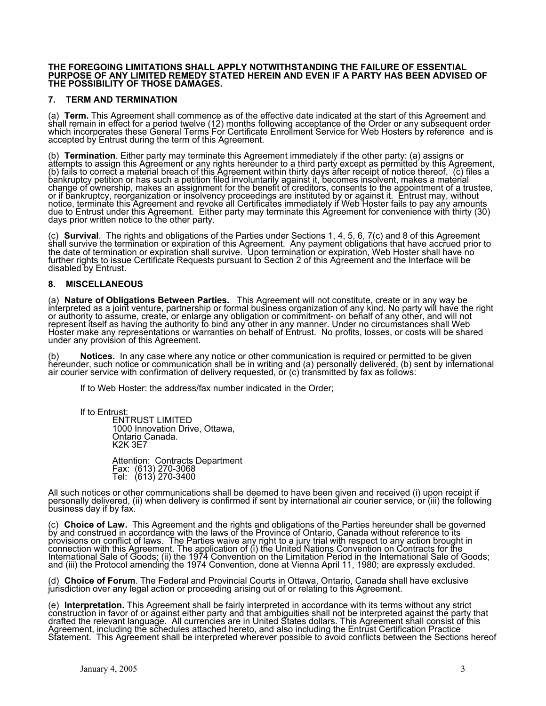#### **THE FOREGOING LIMITATIONS SHALL APPLY NOTWITHSTANDING THE FAILURE OF E PURPOSE OF ANY LIMITED REME SSENTIAL DY STATED HEREIN AND EVEN IF A PARTY HAS BEEN ADVISED OF SE DAMAGES. THE POSSIBILITY OF THO**

# **7. TERM AND TERMINATION**

greement and ths following acceptance of the Order or any subsequent order rs by reference and is (a) **Term.** This Agreement shall commence as of the effective date indicated at the start of this A shall remain in effect for a period twelve (12) mon which incorporates these General Terms For Certificate Enrollment Service for Web Hoste accepted by Entrust during the term of this Agreement.

(a) assigns or y thĭs Agreement,<br>ereof, (c) files a a material change of ownership, makes an assignment for the benefit of creditors, consents to the appointment of a trustee,<br>or if bankruptcy, reorganization or insolvency proceedings are instituted by or against it. Entrust may, wit pay any amounts e with thirty (30) (b) **Termination**. Either party may terminate this Agreement immediately if the other party: àttempts to assign this Agreement or any rights herĕunder to a third partý except as permitted by<br>(b) fails to correct a material breach of this Agreement within thirty days after receipt of notice the bankruptcy petition or has such a petition filed involuntarily against it, becomes insolvent, makes change of ownership, makes an assignment for the benefit of creditors, consents to the appointm notice, terminate this Agreement and revoke all Certificates immediately if Web Hoster fails to due to Entrust under this Agreement. Either party may terminate this Agreement for convenienc days prior written notice to the other party.

(c) Survival. The rights and obligations of the Parties under Sections 1, 4, 5, 6, 7(c) and 8 of this Agreement<br>shall survive the termination or expiration of this Agreement. Any payment obligations that have accrued prior ace will be (c) **Survival**. Th shall survive the term further rights to issue Certificate Requests pursuant to Section 2 of this Agreement and the Interf disabled by Entrust.

# **8. MISCELLANEOUS**

(a) **Nature of Obligations Between Parties.** This Agreement will not constitute, create or in any way be<br>interpreted as a joint venture, partnership or formal business organization of any kind. No party will have the ri nd will not Hoster make any representations or warranties on behalf of Entrust. No profits, losses, or costs will be shared under any provision of this Agreement. (a) Nature of Obligations Between Parties. This Agreement will not constitute, create or in any way be interpreted as a joint venture, partnership or formal business organization of any kind. No party w or authority to assume, create, or enlarge any obligation or commitment- on behalf of any other, a represent itself as having the authority to bind any other in any manner. Under no circumstances shall Web er make any representations or warranties on behalf of E

hereunder, such notice or communication shall be in writing and (a) personally delivered. (b) sent by international air courier service with confirmation of delivery requested, or (c) transmitted by fax as follows: **Notices.** In any case where any notice or other communication is required or permitted to be given

If to Web Hoster: the address/fax number indicated in the Order;

If to Entrust:

Ontario Canada.<br>K2K 3E7 ENTRUST LIMITED 1000 Innovation Drive, Ottawa,

Attention: Contracts Department Fax: (613) 270-3068 Tel: (613) 270-3400

All such notices or other communications shall be deemed to have been given and received (i) upon receipt if personally delivered, (ii) when delivery is confirmed if sent by international air courier service, or (iii) the following business day if by fax.

all be governed rence to its y action brought in ts for the International Sale of Goods; (ii) the 1974 Convention on the Limitation Period in the International Sale of Goods; and (iii) the Protocol amending the 1974 Convention, done at Vienna April 11, 1980; are expressly excluded. (c) **Choice of Law.** This Agreement and the rights and obligations of the Parties hereunder sh by and construed in accordance with the laws of the Province of Ontario, Canada without refe provisions on conflict of laws. The Parties waive any right to a jury trial with respect to an connection with this Agreement. The application of (i) the United Nations Convention on Contrac

(d) **Choice of Forum**. The Federal and Provincial Courts in Ottawa, Ontario, Canada shall have exclusive jurisdiction over any legal action or proceeding arising out of or relating to this Agreement.

(e) I**nterpretation.** This Agreement shall be fairly interpreted in accordance with its terms without any strict<br>construction in favor of or against either party and that ambiguities shall not be interpreted against the pa Agreement, including the schedules attached hereto, and also including the Entrust Certification Practice<br>Statement. This Agreement shall be interpreted wherever possible to avoid conflicts between the Sections hereof